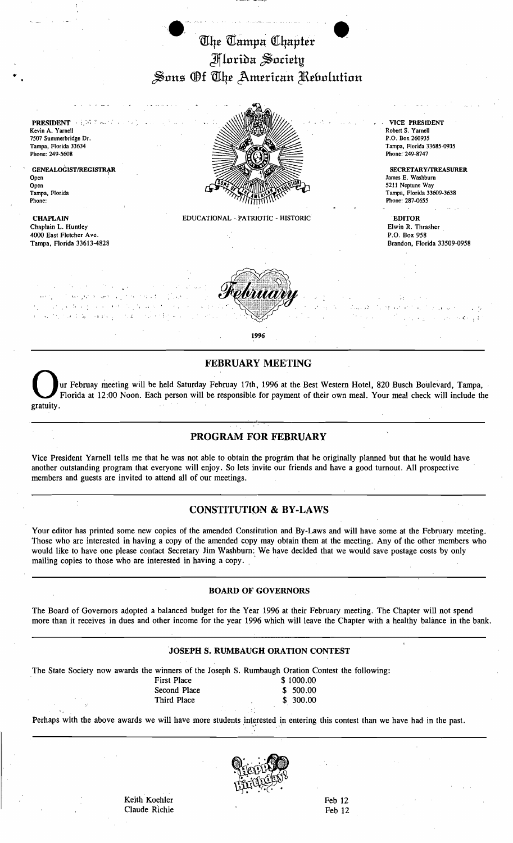# The Tampa Chapter Jfflorioa ~o.ci£ty  $\mathcal S$ ons Of The American *Rebolution*



## **FEBRUARY MEETING**

ur Februay meeting will be held Saturday Februay 17th, 1996 at the Best Western Hotel, 820 Busch Boulevard, Tampa, Florida at 12:00 Noon. Each person will be responsible for payment of their own meal. Your meal check will include the -------------~-----------'-.-,,.-----------------------

## PROGRAM FOR FEBRUARY

Vice President Yarnell tells me that he was not able to obtain the program that he originally planned but that he would have another outstanding program that everyone will enjoy. So lets invite our friends and have a good turnout. All prospective members and guests are invited to attend all of our meetings.

#### CONSTITUTION & BY-LAWS

Your editor has printed some new copies of the amended Constitution and By-Laws and will have some at the February meeting. Those who are interested in having a copy of the amended copy may obtain them at the meeting. Any of the other members who would like to have one please confact Secretary Jim Washburn: We have decided that we would save postage costs by only mailing copies to those who are interested in having a copy.

#### BOARD OF GOVERNORS

The Board of Governors adopted a balanced budget for the Year 1996 at their February meeting. The Chapter will not spend more than it receives in dues and other income for the year 1996 which will leave the Chapter with a healthy balance in the bank.

#### JOSEPH S. RUMBAUGH ORATION CONTEST

The State Society now awards the winners of the Joseph S. Rumbaugh Oration Contest the following:

First Place \$ 1000.00 Third Place \$

Second Place \$ 500.00<br>Third Place \$ 300.00

Perhaps with the above awards we will have more students interested in entering this contest than we have had in the past.



Keith Koehler Feb 12 Claude Richie Feb 12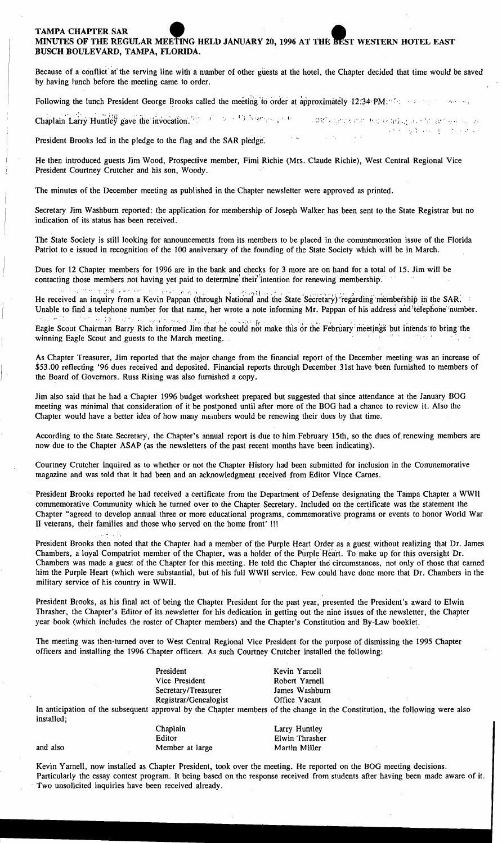# MINUTES OF THE REGULAR MEETING TAMPA CHAPTER SAR • HELD JANUARY 20, 1996 AT THE ST WESTERN HOTEL EAST E BEST WESTERN HOTEL EAST BUSCH BOULEVARD, TAMPA, FLORIDA.

Because of a conflict' at' the serving line with a number of other guests at the hotel, the Chapter decided that time would be saved by having lunch before the meeting came to order.

Following the lunch President George Brooks called the meeting-to order at approximately 12:34 PM. The same is

Chaplain Larry Huntley gave the invocation. The second is the second of the second second the integrate of average as " I I I I I I I I I I I I I  $\gamma$  on  $\sim$   $\sim$ 

President Brooks led in the pledge to the flag and the SAR pledge:

He then introduced guests Jim Wood, Prospective member, Fimi Richie (Mrs, Claude Richie), West Central Regional Vice President Courtney Crutcher and his son, Woody.

The minutes of the December meeting as published in the Chapter newsletter were approved as printed.

Secretary Jim Washburn reported: the application for membership of Joseph Walker has been sent to the State Registrar but no indication of its status has been received. .

The State Society is still looking for announcements from its members to be placed in the commemoration issue of the Florida Patriot to e issued in recognition of the 100 anniversary of the founding of the State Society which will be in March.

Dues for 12 Chapter members for 1996 are in the bank and checks for 3 more are on hand for a total of 15. Jim will be contacting those members not having yet paid to determine their intention for renewing membership.

". '. "'," "; .~,1rf ,..*r* ,,:. '; . ;-~"" ,f"- .~. ". • . .• ) . *•* f~i' \_, . " .1 ".\_, " ',\_ .'~ ) ," ~'. '" \_ , • He received an inquiry from a Kevin Pappan (through National and the State Secretary) regarding membership in the SAR.<br>Unable to find a telephone number for that name, her wrote a note informing Mr. Pappan of his address a Unable to find a telephone number for that name, her wrote a note informing Mr. Pappan of his address and telephone number.

Eagle Scout Chairman Barry Rich informed Jim that he could not make this or the February meetings but intends to bring the winning Eagle Scout and guests to the March meeting. .

As Chapter Treasurer, Jim reported that the major change from the financial report of the December meeting was an increase of \$53.00 reflecting '96 dues received and deposited. Financial reports through December 31st have been furnished to members of the Board of Governors. Russ Rising was also furnished a copy.

Jim also said that he had a Chapter 1996 budget worksheet prepared but suggested that since attendance at the January BOG meeting was minimal that consideration of it be postponed until after more of the BOG had a chance to review it. Also the Chapter would have a better idea of how many members would be renewing their dues by that time.

According to the State Secretary, the Chapter's annual report is due to him February 15th, so the dues of renewing members are now due to the Chapter ASAP (as the newsletters of the past recent months have been indicating).

Courtney Crutcher inquired as to whether or not the Chapter History had been submitted for inclusion in the Commemorative magazine and was told that it had been and an acknowledgment received from Editor Vince Carnes.

President Brooks reported he had received a certificate from the Department of Defense designating the Tampa Chapter a WWll commemorative Community which he turned over to the Chapter Secretary. Included on the certificate was the statement the Chapter "agreed to develop annual three or more educational programs, commemorative programs or events to honor World War II veterans, their families and those who served on the home front' !!!

President Brooks then noted that the Chapter had a member of the Purple Heart Order as a guest without realizing that Dr. James Chambers, a loyal Compatriot member of the Chapter, was a holder of the Purple Heart. To make up for this oversight Dr. Chambers was made a guest of the Chapter for this meeting. He told the Chapter' the circumstances, not only of those that earned him the Purple Heart (which were substantial, but of his full WWII service. Few could have done more that br. Chambers in the military service of his country in WWII.

President Brooks, as his final act of being the Chapter President for the past year, presented the President's award to Elwin Thrasher, the Chapter's Editor of its newsletter for his dedication in getting out the nine issues of the newsletter, the Chapter year book (which includes the roster of Chapter members) and the Chapter's Constitution and By-Law booklet.

The meeting was then· turned over to West Central Regional Vice President for the purpose of dismissing the 1995 Chapter officers and installing the 1996 Chapter officers. As such Couitney Crutcher installed the following:

| President             | Kevin Yarnell                                                                |  |
|-----------------------|------------------------------------------------------------------------------|--|
| Vice President        | Robert Yarnell                                                               |  |
| Secretary/Treasurer   | James Washburn                                                               |  |
| Registrar/Genealogist | Office Vacant                                                                |  |
|                       | quent approval by the Chapter members of the change in the Constitution, the |  |

In anticipation of the subsequent approval by the Chapter members of the change in the Constitution, the following were also installed;

,-"

Chaplain Larry Huntley Editor Elwin Thrasher Member at large Martin Miller

Kevin Yarnell, now installed as Chapter President, took over the meeting. He reported on the BOG meeting decisions. Particularly the essay contest program. It being based on the response received from students after having been made aware of it. . Two unsolicited inquiries have been received already.